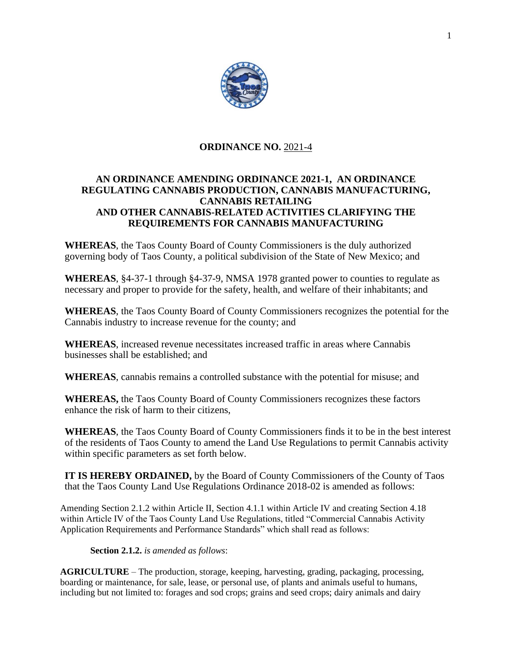

# **ORDINANCE NO.** 2021-4

# **AN ORDINANCE AMENDING ORDINANCE 2021-1, AN ORDINANCE REGULATING CANNABIS PRODUCTION, CANNABIS MANUFACTURING, CANNABIS RETAILING AND OTHER CANNABIS-RELATED ACTIVITIES CLARIFYING THE REQUIREMENTS FOR CANNABIS MANUFACTURING**

**WHEREAS**, the Taos County Board of County Commissioners is the duly authorized governing body of Taos County, a political subdivision of the State of New Mexico; and

**WHEREAS**, §4-37-1 through §4-37-9, NMSA 1978 granted power to counties to regulate as necessary and proper to provide for the safety, health, and welfare of their inhabitants; and

**WHEREAS**, the Taos County Board of County Commissioners recognizes the potential for the Cannabis industry to increase revenue for the county; and

**WHEREAS**, increased revenue necessitates increased traffic in areas where Cannabis businesses shall be established; and

**WHEREAS**, cannabis remains a controlled substance with the potential for misuse; and

**WHEREAS,** the Taos County Board of County Commissioners recognizes these factors enhance the risk of harm to their citizens,

**WHEREAS**, the Taos County Board of County Commissioners finds it to be in the best interest of the residents of Taos County to amend the Land Use Regulations to permit Cannabis activity within specific parameters as set forth below.

**IT IS HEREBY ORDAINED,** by the Board of County Commissioners of the County of Taos that the Taos County Land Use Regulations Ordinance 2018-02 is amended as follows:

Amending Section 2.1.2 within Article II, Section 4.1.1 within Article IV and creating Section 4.18 within Article IV of the Taos County Land Use Regulations, titled "Commercial Cannabis Activity Application Requirements and Performance Standards" which shall read as follows:

**Section 2.1.2.** *is amended as follows*:

**AGRICULTURE** – The production, storage, keeping, harvesting, grading, packaging, processing, boarding or maintenance, for sale, lease, or personal use, of plants and animals useful to humans, including but not limited to: forages and sod crops; grains and seed crops; dairy animals and dairy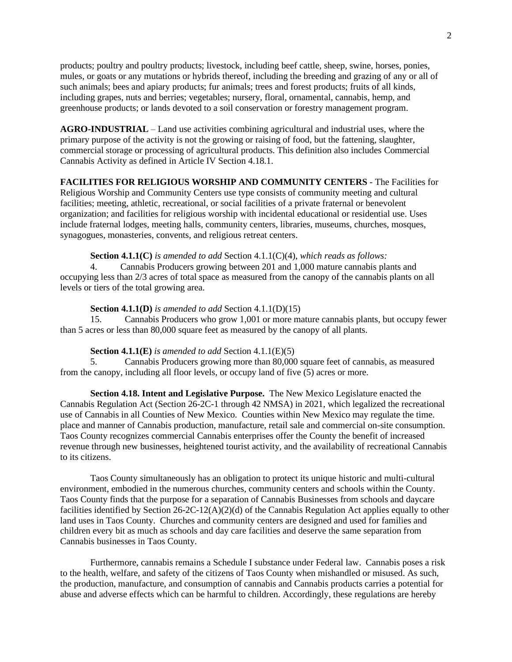products; poultry and poultry products; livestock, including beef cattle, sheep, swine, horses, ponies, mules, or goats or any mutations or hybrids thereof, including the breeding and grazing of any or all of such animals; bees and apiary products; fur animals; trees and forest products; fruits of all kinds, including grapes, nuts and berries; vegetables; nursery, floral, ornamental, cannabis, hemp, and greenhouse products; or lands devoted to a soil conservation or forestry management program.

**AGRO-INDUSTRIAL** – Land use activities combining agricultural and industrial uses, where the primary purpose of the activity is not the growing or raising of food, but the fattening, slaughter, commercial storage or processing of agricultural products. This definition also includes Commercial Cannabis Activity as defined in Article IV Section 4.18.1.

## **FACILITIES FOR RELIGIOUS WORSHIP AND COMMUNITY CENTERS** - The Facilities for

Religious Worship and Community Centers use type consists of community meeting and cultural facilities; meeting, athletic, recreational, or social facilities of a private fraternal or benevolent organization; and facilities for religious worship with incidental educational or residential use. Uses include fraternal lodges, meeting halls, community centers, libraries, museums, churches, mosques, synagogues, monasteries, convents, and religious retreat centers.

### **Section 4.1.1(C)** *is amended to add* Section 4.1.1(C)(4), *which reads as follows:*

4. Cannabis Producers growing between 201 and 1,000 mature cannabis plants and occupying less than 2/3 acres of total space as measured from the canopy of the cannabis plants on all levels or tiers of the total growing area.

#### **Section 4.1.1(D)** *is amended to add* Section 4.1.1(D)(15)

15. Cannabis Producers who grow 1,001 or more mature cannabis plants, but occupy fewer than 5 acres or less than 80,000 square feet as measured by the canopy of all plants.

#### **Section 4.1.1(E)** *is amended to add* Section 4.1.1(E)(5)

5. Cannabis Producers growing more than 80,000 square feet of cannabis, as measured from the canopy, including all floor levels, or occupy land of five (5) acres or more.

**Section 4.18. Intent and Legislative Purpose.** The New Mexico Legislature enacted the Cannabis Regulation Act (Section 26-2C-1 through 42 NMSA) in 2021, which legalized the recreational use of Cannabis in all Counties of New Mexico. Counties within New Mexico may regulate the time. place and manner of Cannabis production, manufacture, retail sale and commercial on-site consumption. Taos County recognizes commercial Cannabis enterprises offer the County the benefit of increased revenue through new businesses, heightened tourist activity, and the availability of recreational Cannabis to its citizens.

Taos County simultaneously has an obligation to protect its unique historic and multi-cultural environment, embodied in the numerous churches, community centers and schools within the County. Taos County finds that the purpose for a separation of Cannabis Businesses from schools and daycare facilities identified by Section 26-2C-12(A)(2)(d) of the Cannabis Regulation Act applies equally to other land uses in Taos County. Churches and community centers are designed and used for families and children every bit as much as schools and day care facilities and deserve the same separation from Cannabis businesses in Taos County.

Furthermore, cannabis remains a Schedule I substance under Federal law. Cannabis poses a risk to the health, welfare, and safety of the citizens of Taos County when mishandled or misused. As such, the production, manufacture, and consumption of cannabis and Cannabis products carries a potential for abuse and adverse effects which can be harmful to children. Accordingly, these regulations are hereby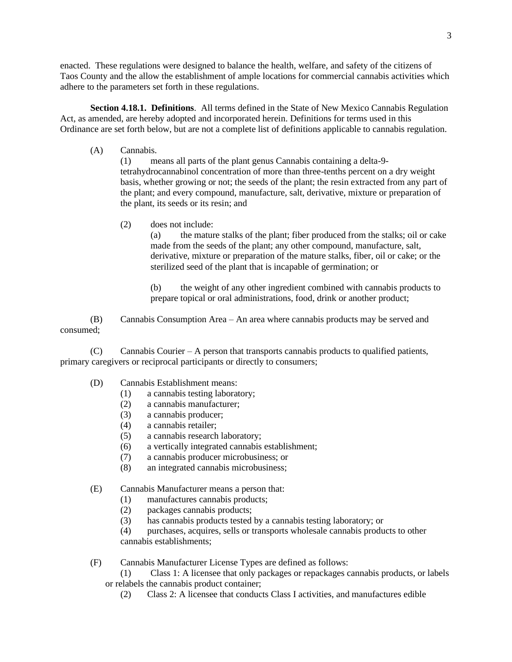enacted. These regulations were designed to balance the health, welfare, and safety of the citizens of Taos County and the allow the establishment of ample locations for commercial cannabis activities which adhere to the parameters set forth in these regulations.

**Section 4.18.1. Definitions**. All terms defined in the State of New Mexico Cannabis Regulation Act, as amended, are hereby adopted and incorporated herein. Definitions for terms used in this Ordinance are set forth below, but are not a complete list of definitions applicable to cannabis regulation.

(A) Cannabis.

(1) means all parts of the plant genus Cannabis containing a delta-9 tetrahydrocannabinol concentration of more than three-tenths percent on a dry weight basis, whether growing or not; the seeds of the plant; the resin extracted from any part of the plant; and every compound, manufacture, salt, derivative, mixture or preparation of the plant, its seeds or its resin; and

(2) does not include:

(a) the mature stalks of the plant; fiber produced from the stalks; oil or cake made from the seeds of the plant; any other compound, manufacture, salt, derivative, mixture or preparation of the mature stalks, fiber, oil or cake; or the sterilized seed of the plant that is incapable of germination; or

(b) the weight of any other ingredient combined with cannabis products to prepare topical or oral administrations, food, drink or another product;

(B) Cannabis Consumption Area – An area where cannabis products may be served and consumed;

 $(C)$  Cannabis Courier – A person that transports cannabis products to qualified patients, primary caregivers or reciprocal participants or directly to consumers;

- (D) Cannabis Establishment means:
	- (1) a cannabis testing laboratory;
	- (2) a cannabis manufacturer;
	- (3) a cannabis producer;
	- (4) a cannabis retailer;
	- (5) a cannabis research laboratory;
	- (6) a vertically integrated cannabis establishment;
	- (7) a cannabis producer microbusiness; or
	- (8) an integrated cannabis microbusiness;
- (E) Cannabis Manufacturer means a person that:
	- (1) manufactures cannabis products;
	- (2) packages cannabis products;
	- (3) has cannabis products tested by a cannabis testing laboratory; or

(4) purchases, acquires, sells or transports wholesale cannabis products to other cannabis establishments;

(F) Cannabis Manufacturer License Types are defined as follows:

(1) Class 1: A licensee that only packages or repackages cannabis products, or labels or relabels the cannabis product container;

(2) Class 2: A licensee that conducts Class I activities, and manufactures edible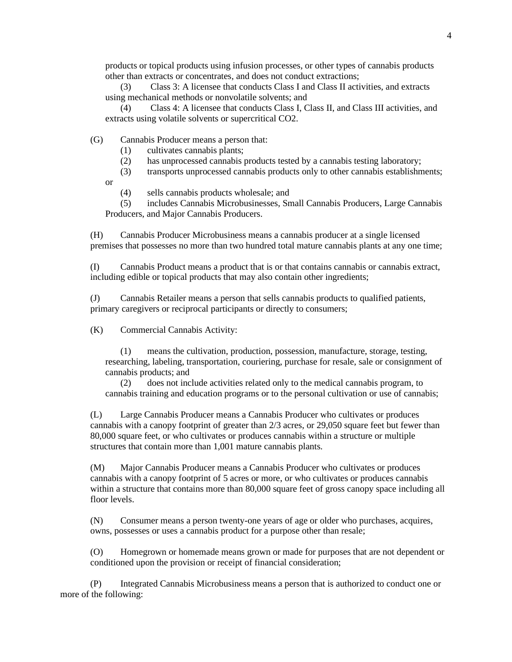products or topical products using infusion processes, or other types of cannabis products other than extracts or concentrates, and does not conduct extractions;

(3) Class 3: A licensee that conducts Class I and Class II activities, and extracts using mechanical methods or nonvolatile solvents; and

(4) Class 4: A licensee that conducts Class I, Class II, and Class III activities, and extracts using volatile solvents or supercritical CO2.

(G) Cannabis Producer means a person that:

- (1) cultivates cannabis plants;
- (2) has unprocessed cannabis products tested by a cannabis testing laboratory;

(3) transports unprocessed cannabis products only to other cannabis establishments;

or

(4) sells cannabis products wholesale; and

(5) includes Cannabis Microbusinesses, Small Cannabis Producers, Large Cannabis Producers, and Major Cannabis Producers.

(H) Cannabis Producer Microbusiness means a cannabis producer at a single licensed premises that possesses no more than two hundred total mature cannabis plants at any one time;

(I) Cannabis Product means a product that is or that contains cannabis or cannabis extract, including edible or topical products that may also contain other ingredients;

(J) Cannabis Retailer means a person that sells cannabis products to qualified patients, primary caregivers or reciprocal participants or directly to consumers;

(K) Commercial Cannabis Activity:

(1) means the cultivation, production, possession, manufacture, storage, testing, researching, labeling, transportation, couriering, purchase for resale, sale or consignment of cannabis products; and

(2) does not include activities related only to the medical cannabis program, to cannabis training and education programs or to the personal cultivation or use of cannabis;

(L) Large Cannabis Producer means a Cannabis Producer who cultivates or produces cannabis with a canopy footprint of greater than 2/3 acres, or 29,050 square feet but fewer than 80,000 square feet, or who cultivates or produces cannabis within a structure or multiple structures that contain more than 1,001 mature cannabis plants.

(M) Major Cannabis Producer means a Cannabis Producer who cultivates or produces cannabis with a canopy footprint of 5 acres or more, or who cultivates or produces cannabis within a structure that contains more than 80,000 square feet of gross canopy space including all floor levels.

(N) Consumer means a person twenty-one years of age or older who purchases, acquires, owns, possesses or uses a cannabis product for a purpose other than resale;

(O) Homegrown or homemade means grown or made for purposes that are not dependent or conditioned upon the provision or receipt of financial consideration;

(P) Integrated Cannabis Microbusiness means a person that is authorized to conduct one or more of the following: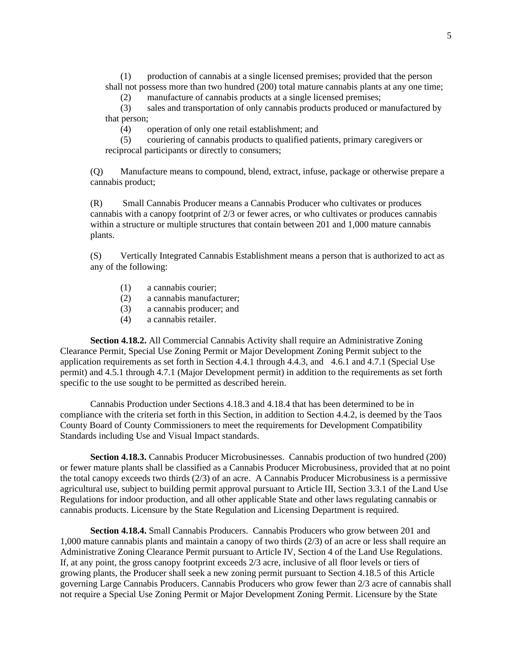(1) production of cannabis at a single licensed premises; provided that the person shall not possess more than two hundred (200) total mature cannabis plants at any one time;

(2) manufacture of cannabis products at a single licensed premises;

(3) sales and transportation of only cannabis products produced or manufactured by that person;

(4) operation of only one retail establishment; and

(5) couriering of cannabis products to qualified patients, primary caregivers or reciprocal participants or directly to consumers;

(Q) Manufacture means to compound, blend, extract, infuse, package or otherwise prepare a cannabis product;

(R) Small Cannabis Producer means a Cannabis Producer who cultivates or produces cannabis with a canopy footprint of 2/3 or fewer acres, or who cultivates or produces cannabis within a structure or multiple structures that contain between 201 and 1,000 mature cannabis plants.

(S) Vertically Integrated Cannabis Establishment means a person that is authorized to act as any of the following:

- (1) a cannabis courier;
- (2) a cannabis manufacturer;
- (3) a cannabis producer; and
- (4) a cannabis retailer.

**Section 4.18.2.** All Commercial Cannabis Activity shall require an Administrative Zoning Clearance Permit, Special Use Zoning Permit or Major Development Zoning Permit subject to the application requirements as set forth in Section 4.4.1 through 4.4.3, and 4.6.1 and 4.7.1 (Special Use permit) and 4.5.1 through 4.7.1 (Major Development permit) in addition to the requirements as set forth specific to the use sought to be permitted as described herein.

Cannabis Production under Sections 4.18.3 and 4.18.4 that has been determined to be in compliance with the criteria set forth in this Section, in addition to Section 4.4.2, is deemed by the Taos County Board of County Commissioners to meet the requirements for Development Compatibility Standards including Use and Visual Impact standards.

**Section 4.18.3.** Cannabis Producer Microbusinesses. Cannabis production of two hundred (200) or fewer mature plants shall be classified as a Cannabis Producer Microbusiness, provided that at no point the total canopy exceeds two thirds (2/3) of an acre. A Cannabis Producer Microbusiness is a permissive agricultural use, subject to building permit approval pursuant to Article III, Section 3.3.1 of the Land Use Regulations for indoor production, and all other applicable State and other laws regulating cannabis or cannabis products. Licensure by the State Regulation and Licensing Department is required.

**Section 4.18.4.** Small Cannabis Producers. Cannabis Producers who grow between 201 and 1,000 mature cannabis plants and maintain a canopy of two thirds (2/3) of an acre or less shall require an Administrative Zoning Clearance Permit pursuant to Article IV, Section 4 of the Land Use Regulations. If, at any point, the gross canopy footprint exceeds 2/3 acre, inclusive of all floor levels or tiers of growing plants, the Producer shall seek a new zoning permit pursuant to Section 4.18.5 of this Article governing Large Cannabis Producers. Cannabis Producers who grow fewer than 2/3 acre of cannabis shall not require a Special Use Zoning Permit or Major Development Zoning Permit. Licensure by the State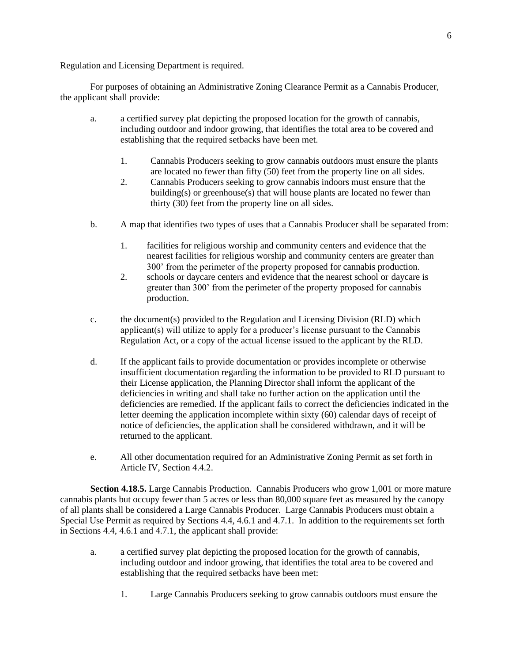Regulation and Licensing Department is required.

For purposes of obtaining an Administrative Zoning Clearance Permit as a Cannabis Producer, the applicant shall provide:

- a. a certified survey plat depicting the proposed location for the growth of cannabis, including outdoor and indoor growing, that identifies the total area to be covered and establishing that the required setbacks have been met.
	- 1. Cannabis Producers seeking to grow cannabis outdoors must ensure the plants are located no fewer than fifty (50) feet from the property line on all sides.
	- 2. Cannabis Producers seeking to grow cannabis indoors must ensure that the building(s) or greenhouse(s) that will house plants are located no fewer than thirty (30) feet from the property line on all sides.
- b. A map that identifies two types of uses that a Cannabis Producer shall be separated from:
	- 1. facilities for religious worship and community centers and evidence that the nearest facilities for religious worship and community centers are greater than 300' from the perimeter of the property proposed for cannabis production.
	- 2. schools or daycare centers and evidence that the nearest school or daycare is greater than 300' from the perimeter of the property proposed for cannabis production.
- c. the document(s) provided to the Regulation and Licensing Division (RLD) which applicant(s) will utilize to apply for a producer's license pursuant to the Cannabis Regulation Act, or a copy of the actual license issued to the applicant by the RLD.
- d. If the applicant fails to provide documentation or provides incomplete or otherwise insufficient documentation regarding the information to be provided to RLD pursuant to their License application, the Planning Director shall inform the applicant of the deficiencies in writing and shall take no further action on the application until the deficiencies are remedied. If the applicant fails to correct the deficiencies indicated in the letter deeming the application incomplete within sixty (60) calendar days of receipt of notice of deficiencies, the application shall be considered withdrawn, and it will be returned to the applicant.
- e. All other documentation required for an Administrative Zoning Permit as set forth in Article IV, Section 4.4.2.

**Section 4.18.5.** Large Cannabis Production. Cannabis Producers who grow 1,001 or more mature cannabis plants but occupy fewer than 5 acres or less than 80,000 square feet as measured by the canopy of all plants shall be considered a Large Cannabis Producer. Large Cannabis Producers must obtain a Special Use Permit as required by Sections 4.4, 4.6.1 and 4.7.1. In addition to the requirements set forth in Sections 4.4, 4.6.1 and 4.7.1, the applicant shall provide:

- a. a certified survey plat depicting the proposed location for the growth of cannabis, including outdoor and indoor growing, that identifies the total area to be covered and establishing that the required setbacks have been met:
	- 1. Large Cannabis Producers seeking to grow cannabis outdoors must ensure the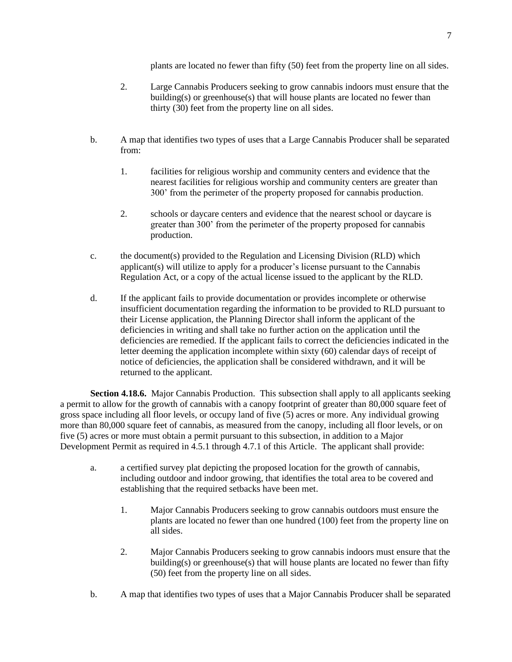plants are located no fewer than fifty (50) feet from the property line on all sides.

- 2. Large Cannabis Producers seeking to grow cannabis indoors must ensure that the building(s) or greenhouse(s) that will house plants are located no fewer than thirty (30) feet from the property line on all sides.
- b. A map that identifies two types of uses that a Large Cannabis Producer shall be separated from:
	- 1. facilities for religious worship and community centers and evidence that the nearest facilities for religious worship and community centers are greater than 300' from the perimeter of the property proposed for cannabis production.
	- 2. schools or daycare centers and evidence that the nearest school or daycare is greater than 300' from the perimeter of the property proposed for cannabis production.
- c. the document(s) provided to the Regulation and Licensing Division (RLD) which applicant(s) will utilize to apply for a producer's license pursuant to the Cannabis Regulation Act, or a copy of the actual license issued to the applicant by the RLD.
- d. If the applicant fails to provide documentation or provides incomplete or otherwise insufficient documentation regarding the information to be provided to RLD pursuant to their License application, the Planning Director shall inform the applicant of the deficiencies in writing and shall take no further action on the application until the deficiencies are remedied. If the applicant fails to correct the deficiencies indicated in the letter deeming the application incomplete within sixty (60) calendar days of receipt of notice of deficiencies, the application shall be considered withdrawn, and it will be returned to the applicant.

**Section 4.18.6.** Major Cannabis Production. This subsection shall apply to all applicants seeking a permit to allow for the growth of cannabis with a canopy footprint of greater than 80,000 square feet of gross space including all floor levels, or occupy land of five (5) acres or more. Any individual growing more than 80,000 square feet of cannabis, as measured from the canopy, including all floor levels, or on five (5) acres or more must obtain a permit pursuant to this subsection, in addition to a Major Development Permit as required in 4.5.1 through 4.7.1 of this Article. The applicant shall provide:

- a. a certified survey plat depicting the proposed location for the growth of cannabis, including outdoor and indoor growing, that identifies the total area to be covered and establishing that the required setbacks have been met.
	- 1. Major Cannabis Producers seeking to grow cannabis outdoors must ensure the plants are located no fewer than one hundred (100) feet from the property line on all sides.
	- 2. Major Cannabis Producers seeking to grow cannabis indoors must ensure that the building(s) or greenhouse(s) that will house plants are located no fewer than fifty (50) feet from the property line on all sides.
- b. A map that identifies two types of uses that a Major Cannabis Producer shall be separated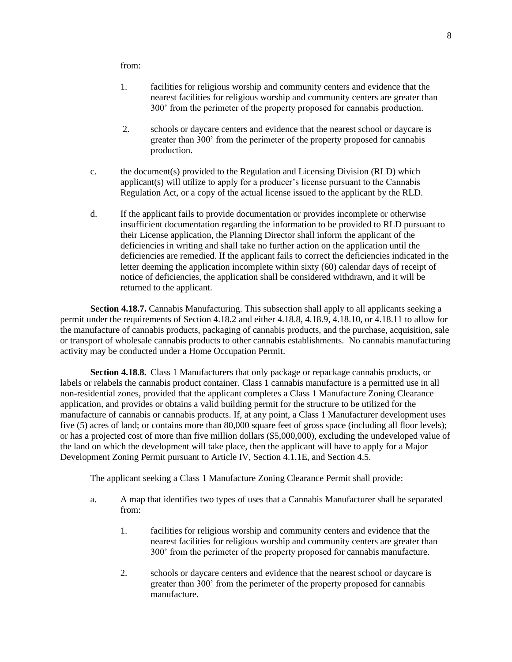from:

- 1. facilities for religious worship and community centers and evidence that the nearest facilities for religious worship and community centers are greater than 300' from the perimeter of the property proposed for cannabis production.
- 2. schools or daycare centers and evidence that the nearest school or daycare is greater than 300' from the perimeter of the property proposed for cannabis production.
- c. the document(s) provided to the Regulation and Licensing Division (RLD) which applicant(s) will utilize to apply for a producer's license pursuant to the Cannabis Regulation Act, or a copy of the actual license issued to the applicant by the RLD.
- d. If the applicant fails to provide documentation or provides incomplete or otherwise insufficient documentation regarding the information to be provided to RLD pursuant to their License application, the Planning Director shall inform the applicant of the deficiencies in writing and shall take no further action on the application until the deficiencies are remedied. If the applicant fails to correct the deficiencies indicated in the letter deeming the application incomplete within sixty (60) calendar days of receipt of notice of deficiencies, the application shall be considered withdrawn, and it will be returned to the applicant.

**Section 4.18.7.** Cannabis Manufacturing. This subsection shall apply to all applicants seeking a permit under the requirements of Section 4.18.2 and either 4.18.8, 4.18.9, 4.18.10, or 4.18.11 to allow for the manufacture of cannabis products, packaging of cannabis products, and the purchase, acquisition, sale or transport of wholesale cannabis products to other cannabis establishments. No cannabis manufacturing activity may be conducted under a Home Occupation Permit.

**Section 4.18.8.** Class 1 Manufacturers that only package or repackage cannabis products, or labels or relabels the cannabis product container. Class 1 cannabis manufacture is a permitted use in all non-residential zones, provided that the applicant completes a Class 1 Manufacture Zoning Clearance application, and provides or obtains a valid building permit for the structure to be utilized for the manufacture of cannabis or cannabis products. If, at any point, a Class 1 Manufacturer development uses five (5) acres of land; or contains more than 80,000 square feet of gross space (including all floor levels); or has a projected cost of more than five million dollars (\$5,000,000), excluding the undeveloped value of the land on which the development will take place, then the applicant will have to apply for a Major Development Zoning Permit pursuant to Article IV, Section 4.1.1E, and Section 4.5.

The applicant seeking a Class 1 Manufacture Zoning Clearance Permit shall provide:

- a. A map that identifies two types of uses that a Cannabis Manufacturer shall be separated from:
	- 1. facilities for religious worship and community centers and evidence that the nearest facilities for religious worship and community centers are greater than 300' from the perimeter of the property proposed for cannabis manufacture.
	- 2. schools or daycare centers and evidence that the nearest school or daycare is greater than 300' from the perimeter of the property proposed for cannabis manufacture.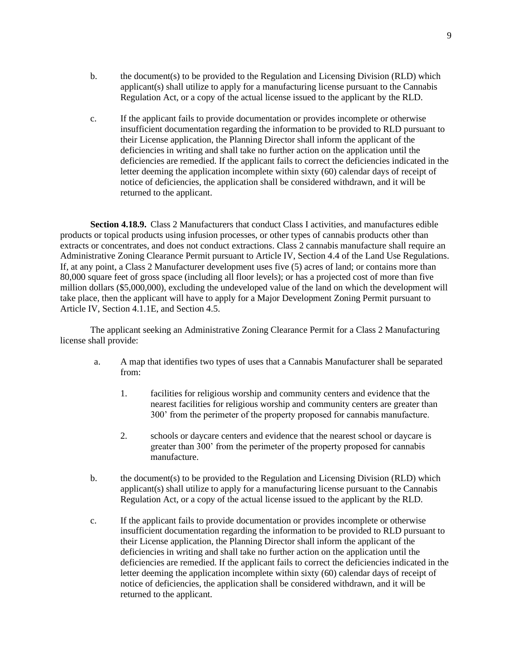- b. the document(s) to be provided to the Regulation and Licensing Division (RLD) which applicant(s) shall utilize to apply for a manufacturing license pursuant to the Cannabis Regulation Act, or a copy of the actual license issued to the applicant by the RLD.
- c. If the applicant fails to provide documentation or provides incomplete or otherwise insufficient documentation regarding the information to be provided to RLD pursuant to their License application, the Planning Director shall inform the applicant of the deficiencies in writing and shall take no further action on the application until the deficiencies are remedied. If the applicant fails to correct the deficiencies indicated in the letter deeming the application incomplete within sixty (60) calendar days of receipt of notice of deficiencies, the application shall be considered withdrawn, and it will be returned to the applicant.

**Section 4.18.9.** Class 2 Manufacturers that conduct Class I activities, and manufactures edible products or topical products using infusion processes, or other types of cannabis products other than extracts or concentrates, and does not conduct extractions. Class 2 cannabis manufacture shall require an Administrative Zoning Clearance Permit pursuant to Article IV, Section 4.4 of the Land Use Regulations. If, at any point, a Class 2 Manufacturer development uses five (5) acres of land; or contains more than 80,000 square feet of gross space (including all floor levels); or has a projected cost of more than five million dollars (\$5,000,000), excluding the undeveloped value of the land on which the development will take place, then the applicant will have to apply for a Major Development Zoning Permit pursuant to Article IV, Section 4.1.1E, and Section 4.5.

The applicant seeking an Administrative Zoning Clearance Permit for a Class 2 Manufacturing license shall provide:

- a. A map that identifies two types of uses that a Cannabis Manufacturer shall be separated from:
	- 1. facilities for religious worship and community centers and evidence that the nearest facilities for religious worship and community centers are greater than 300' from the perimeter of the property proposed for cannabis manufacture.
	- 2. schools or daycare centers and evidence that the nearest school or daycare is greater than 300' from the perimeter of the property proposed for cannabis manufacture.
- b. the document(s) to be provided to the Regulation and Licensing Division (RLD) which applicant(s) shall utilize to apply for a manufacturing license pursuant to the Cannabis Regulation Act, or a copy of the actual license issued to the applicant by the RLD.
- c. If the applicant fails to provide documentation or provides incomplete or otherwise insufficient documentation regarding the information to be provided to RLD pursuant to their License application, the Planning Director shall inform the applicant of the deficiencies in writing and shall take no further action on the application until the deficiencies are remedied. If the applicant fails to correct the deficiencies indicated in the letter deeming the application incomplete within sixty (60) calendar days of receipt of notice of deficiencies, the application shall be considered withdrawn, and it will be returned to the applicant.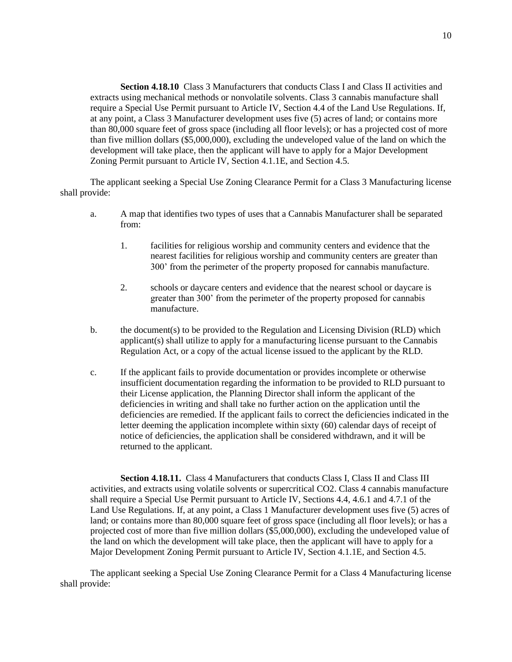**Section 4.18.10** Class 3 Manufacturers that conducts Class I and Class II activities and extracts using mechanical methods or nonvolatile solvents. Class 3 cannabis manufacture shall require a Special Use Permit pursuant to Article IV, Section 4.4 of the Land Use Regulations. If, at any point, a Class 3 Manufacturer development uses five (5) acres of land; or contains more than 80,000 square feet of gross space (including all floor levels); or has a projected cost of more than five million dollars (\$5,000,000), excluding the undeveloped value of the land on which the development will take place, then the applicant will have to apply for a Major Development Zoning Permit pursuant to Article IV, Section 4.1.1E, and Section 4.5.

The applicant seeking a Special Use Zoning Clearance Permit for a Class 3 Manufacturing license shall provide:

- a. A map that identifies two types of uses that a Cannabis Manufacturer shall be separated from:
	- 1. facilities for religious worship and community centers and evidence that the nearest facilities for religious worship and community centers are greater than 300' from the perimeter of the property proposed for cannabis manufacture.
	- 2. schools or daycare centers and evidence that the nearest school or daycare is greater than 300' from the perimeter of the property proposed for cannabis manufacture.
- b. the document(s) to be provided to the Regulation and Licensing Division (RLD) which applicant(s) shall utilize to apply for a manufacturing license pursuant to the Cannabis Regulation Act, or a copy of the actual license issued to the applicant by the RLD.
- c. If the applicant fails to provide documentation or provides incomplete or otherwise insufficient documentation regarding the information to be provided to RLD pursuant to their License application, the Planning Director shall inform the applicant of the deficiencies in writing and shall take no further action on the application until the deficiencies are remedied. If the applicant fails to correct the deficiencies indicated in the letter deeming the application incomplete within sixty (60) calendar days of receipt of notice of deficiencies, the application shall be considered withdrawn, and it will be returned to the applicant.

**Section 4.18.11.** Class 4 Manufacturers that conducts Class I, Class II and Class III activities, and extracts using volatile solvents or supercritical CO2. Class 4 cannabis manufacture shall require a Special Use Permit pursuant to Article IV, Sections 4.4, 4.6.1 and 4.7.1 of the Land Use Regulations. If, at any point, a Class 1 Manufacturer development uses five (5) acres of land; or contains more than 80,000 square feet of gross space (including all floor levels); or has a projected cost of more than five million dollars (\$5,000,000), excluding the undeveloped value of the land on which the development will take place, then the applicant will have to apply for a Major Development Zoning Permit pursuant to Article IV, Section 4.1.1E, and Section 4.5.

The applicant seeking a Special Use Zoning Clearance Permit for a Class 4 Manufacturing license shall provide: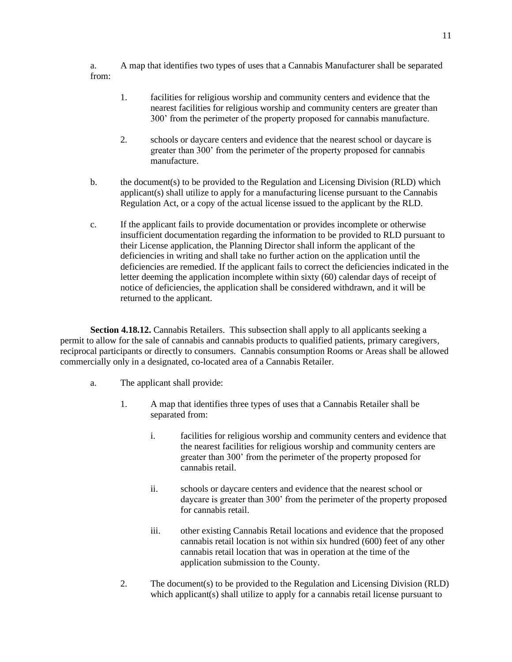a. A map that identifies two types of uses that a Cannabis Manufacturer shall be separated from:

- 1. facilities for religious worship and community centers and evidence that the nearest facilities for religious worship and community centers are greater than 300' from the perimeter of the property proposed for cannabis manufacture.
- 2. schools or daycare centers and evidence that the nearest school or daycare is greater than 300' from the perimeter of the property proposed for cannabis manufacture.
- b. the document(s) to be provided to the Regulation and Licensing Division (RLD) which applicant(s) shall utilize to apply for a manufacturing license pursuant to the Cannabis Regulation Act, or a copy of the actual license issued to the applicant by the RLD.
- c. If the applicant fails to provide documentation or provides incomplete or otherwise insufficient documentation regarding the information to be provided to RLD pursuant to their License application, the Planning Director shall inform the applicant of the deficiencies in writing and shall take no further action on the application until the deficiencies are remedied. If the applicant fails to correct the deficiencies indicated in the letter deeming the application incomplete within sixty (60) calendar days of receipt of notice of deficiencies, the application shall be considered withdrawn, and it will be returned to the applicant.

**Section 4.18.12.** Cannabis Retailers. This subsection shall apply to all applicants seeking a permit to allow for the sale of cannabis and cannabis products to qualified patients, primary caregivers, reciprocal participants or directly to consumers. Cannabis consumption Rooms or Areas shall be allowed commercially only in a designated, co-located area of a Cannabis Retailer.

- a. The applicant shall provide:
	- 1. A map that identifies three types of uses that a Cannabis Retailer shall be separated from:
		- i. facilities for religious worship and community centers and evidence that the nearest facilities for religious worship and community centers are greater than 300' from the perimeter of the property proposed for cannabis retail.
		- ii. schools or daycare centers and evidence that the nearest school or daycare is greater than 300' from the perimeter of the property proposed for cannabis retail.
		- iii. other existing Cannabis Retail locations and evidence that the proposed cannabis retail location is not within six hundred (600) feet of any other cannabis retail location that was in operation at the time of the application submission to the County.
	- 2. The document(s) to be provided to the Regulation and Licensing Division (RLD) which applicant(s) shall utilize to apply for a cannabis retail license pursuant to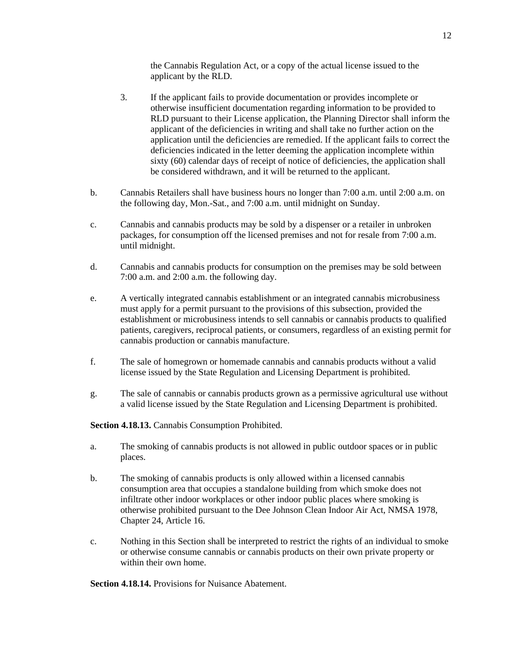the Cannabis Regulation Act, or a copy of the actual license issued to the applicant by the RLD.

- 3. If the applicant fails to provide documentation or provides incomplete or otherwise insufficient documentation regarding information to be provided to RLD pursuant to their License application, the Planning Director shall inform the applicant of the deficiencies in writing and shall take no further action on the application until the deficiencies are remedied. If the applicant fails to correct the deficiencies indicated in the letter deeming the application incomplete within sixty (60) calendar days of receipt of notice of deficiencies, the application shall be considered withdrawn, and it will be returned to the applicant.
- b. Cannabis Retailers shall have business hours no longer than 7:00 a.m. until 2:00 a.m. on the following day, Mon.-Sat., and 7:00 a.m. until midnight on Sunday.
- c. Cannabis and cannabis products may be sold by a dispenser or a retailer in unbroken packages, for consumption off the licensed premises and not for resale from 7:00 a.m. until midnight.
- d. Cannabis and cannabis products for consumption on the premises may be sold between 7:00 a.m. and 2:00 a.m. the following day.
- e. A vertically integrated cannabis establishment or an integrated cannabis microbusiness must apply for a permit pursuant to the provisions of this subsection, provided the establishment or microbusiness intends to sell cannabis or cannabis products to qualified patients, caregivers, reciprocal patients, or consumers, regardless of an existing permit for cannabis production or cannabis manufacture.
- f. The sale of homegrown or homemade cannabis and cannabis products without a valid license issued by the State Regulation and Licensing Department is prohibited.
- g. The sale of cannabis or cannabis products grown as a permissive agricultural use without a valid license issued by the State Regulation and Licensing Department is prohibited.

**Section 4.18.13.** Cannabis Consumption Prohibited.

- a. The smoking of cannabis products is not allowed in public outdoor spaces or in public places.
- b. The smoking of cannabis products is only allowed within a licensed cannabis consumption area that occupies a standalone building from which smoke does not infiltrate other indoor workplaces or other indoor public places where smoking is otherwise prohibited pursuant to the Dee Johnson Clean Indoor Air Act, NMSA 1978, Chapter 24, Article 16.
- c. Nothing in this Section shall be interpreted to restrict the rights of an individual to smoke or otherwise consume cannabis or cannabis products on their own private property or within their own home.

**Section 4.18.14.** Provisions for Nuisance Abatement.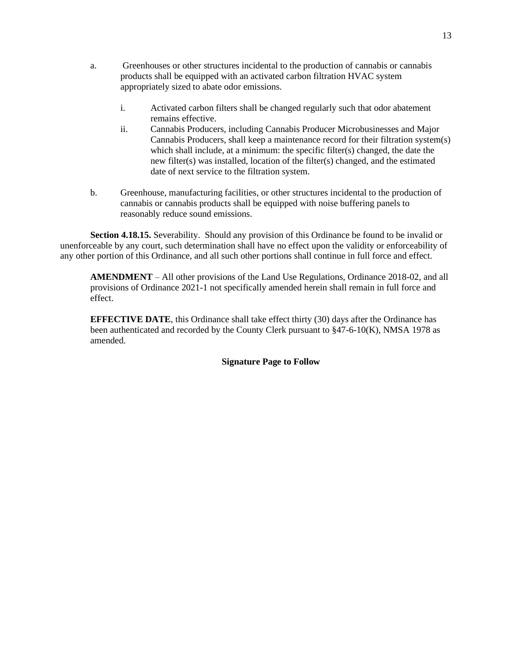- a. Greenhouses or other structures incidental to the production of cannabis or cannabis products shall be equipped with an activated carbon filtration HVAC system appropriately sized to abate odor emissions.
	- i. Activated carbon filters shall be changed regularly such that odor abatement remains effective.
	- ii. Cannabis Producers, including Cannabis Producer Microbusinesses and Major Cannabis Producers, shall keep a maintenance record for their filtration system(s) which shall include, at a minimum: the specific filter(s) changed, the date the new filter(s) was installed, location of the filter(s) changed, and the estimated date of next service to the filtration system.
- b. Greenhouse, manufacturing facilities, or other structures incidental to the production of cannabis or cannabis products shall be equipped with noise buffering panels to reasonably reduce sound emissions.

**Section 4.18.15.** Severability. Should any provision of this Ordinance be found to be invalid or unenforceable by any court, such determination shall have no effect upon the validity or enforceability of any other portion of this Ordinance, and all such other portions shall continue in full force and effect.

**AMENDMENT** – All other provisions of the Land Use Regulations, Ordinance 2018-02, and all provisions of Ordinance 2021-1 not specifically amended herein shall remain in full force and effect.

**EFFECTIVE DATE**, this Ordinance shall take effect thirty (30) days after the Ordinance has been authenticated and recorded by the County Clerk pursuant to §47-6-10(K), NMSA 1978 as amended.

### **Signature Page to Follow**